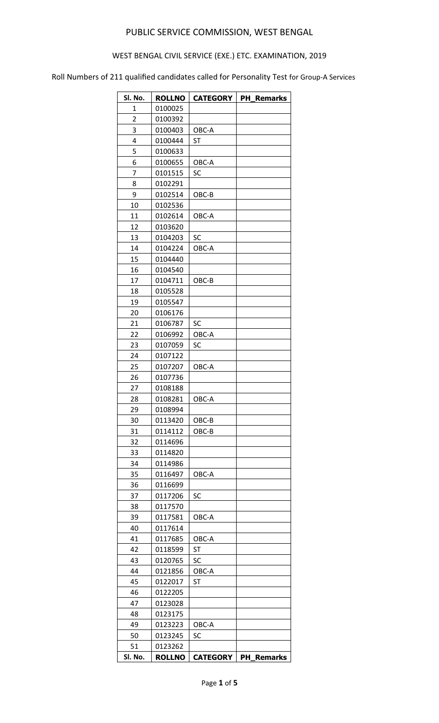# WEST BENGAL CIVIL SERVICE (EXE.) ETC. EXAMINATION, 2019

| Sl. No.        | <b>ROLLNO</b> | <b>CATEGORY</b> | <b>PH Remarks</b> |
|----------------|---------------|-----------------|-------------------|
| 1              | 0100025       |                 |                   |
| $\overline{2}$ | 0100392       |                 |                   |
| 3              | 0100403       | OBC-A           |                   |
| 4              | 0100444       | <b>ST</b>       |                   |
| 5              | 0100633       |                 |                   |
| 6              | 0100655       | OBC-A           |                   |
| 7              | 0101515       | SC              |                   |
| 8              | 0102291       |                 |                   |
| 9              | 0102514       | OBC-B           |                   |
| 10             | 0102536       |                 |                   |
| 11             | 0102614       | OBC-A           |                   |
| 12             | 0103620       |                 |                   |
| 13             | 0104203       | SC              |                   |
| 14             | 0104224       | OBC-A           |                   |
| 15             | 0104440       |                 |                   |
| 16             |               |                 |                   |
| 17             | 0104540       |                 |                   |
|                | 0104711       | OBC-B           |                   |
| 18             | 0105528       |                 |                   |
| 19             | 0105547       |                 |                   |
| 20             | 0106176       |                 |                   |
| 21             | 0106787       | SC              |                   |
| 22             | 0106992       | OBC-A           |                   |
| 23             | 0107059       | SC              |                   |
| 24             | 0107122       |                 |                   |
| 25             | 0107207       | OBC-A           |                   |
| 26             | 0107736       |                 |                   |
| 27             | 0108188       |                 |                   |
| 28             | 0108281       | OBC-A           |                   |
| 29             | 0108994       |                 |                   |
| 30             | 0113420       | OBC-B           |                   |
| 31             | 0114112       | OBC-B           |                   |
| 32             | 0114696       |                 |                   |
| 33             | 0114820       |                 |                   |
| 34             | 0114986       |                 |                   |
| 35             | 0116497       | OBC-A           |                   |
| 36             | 0116699       |                 |                   |
| 37             | 0117206       | SC              |                   |
| 38             | 0117570       |                 |                   |
| 39             | 0117581       | OBC-A           |                   |
| 40             | 0117614       |                 |                   |
| 41             | 0117685       | OBC-A           |                   |
| 42             | 0118599       | ST              |                   |
| 43             | 0120765       | SC              |                   |
| 44             | 0121856       | OBC-A           |                   |
| 45             | 0122017       | ST              |                   |
| 46             | 0122205       |                 |                   |
| 47             | 0123028       |                 |                   |
| 48             | 0123175       |                 |                   |
| 49             | 0123223       | OBC-A           |                   |
| 50             | 0123245       | SC              |                   |
| 51             | 0123262       |                 |                   |
| Sl. No.        | <b>ROLLNO</b> | <b>CATEGORY</b> | <b>PH Remarks</b> |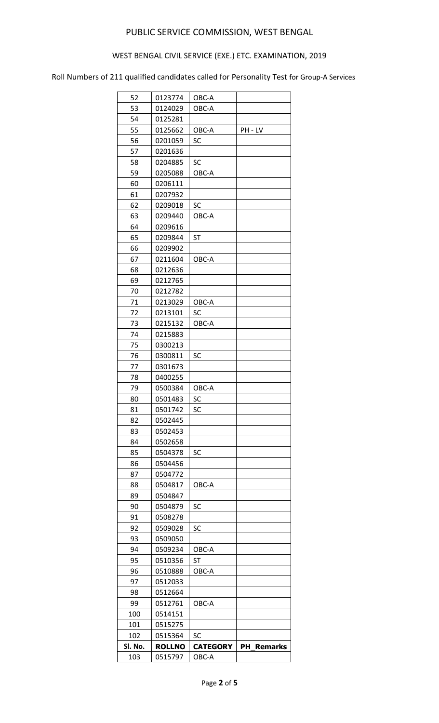# WEST BENGAL CIVIL SERVICE (EXE.) ETC. EXAMINATION, 2019

| 52      | 0123774       | OBC-A           |                   |
|---------|---------------|-----------------|-------------------|
| 53      | 0124029       | OBC-A           |                   |
| 54      | 0125281       |                 |                   |
| 55      | 0125662       | OBC-A           | PH - LV           |
| 56      | 0201059       | SC              |                   |
| 57      | 0201636       |                 |                   |
| 58      | 0204885       | <b>SC</b>       |                   |
| 59      | 0205088       | OBC-A           |                   |
| 60      | 0206111       |                 |                   |
| 61      | 0207932       |                 |                   |
| 62      | 0209018       | SC              |                   |
| 63      | 0209440       | OBC-A           |                   |
| 64      | 0209616       |                 |                   |
| 65      | 0209844       | ST              |                   |
| 66      | 0209902       |                 |                   |
| 67      | 0211604       | OBC-A           |                   |
| 68      | 0212636       |                 |                   |
| 69      | 0212765       |                 |                   |
| 70      | 0212782       |                 |                   |
|         |               |                 |                   |
| 71      | 0213029       | OBC-A           |                   |
| 72      | 0213101       | SC              |                   |
| 73      | 0215132       | OBC-A           |                   |
| 74      | 0215883       |                 |                   |
| 75      | 0300213       |                 |                   |
| 76      | 0300811       | SC              |                   |
| 77      | 0301673       |                 |                   |
| 78      | 0400255       |                 |                   |
| 79      | 0500384       | OBC-A           |                   |
| 80      | 0501483       | SC              |                   |
| 81      | 0501742       | SC              |                   |
| 82      | 0502445       |                 |                   |
| 83      | 0502453       |                 |                   |
| 84      | 0502658       |                 |                   |
| 85      | 0504378       | SC              |                   |
| 86      | 0504456       |                 |                   |
| 87      | 0504772       |                 |                   |
| 88      | 0504817       | OBC-A           |                   |
| 89      | 0504847       |                 |                   |
| 90      | 0504879       | SC              |                   |
| 91      | 0508278       |                 |                   |
| 92      | 0509028       | SC              |                   |
| 93      | 0509050       |                 |                   |
| 94      | 0509234       | OBC-A           |                   |
| 95      | 0510356       | ST              |                   |
| 96      | 0510888       | OBC-A           |                   |
| 97      | 0512033       |                 |                   |
| 98      | 0512664       |                 |                   |
| 99      | 0512761       | OBC-A           |                   |
| 100     | 0514151       |                 |                   |
| 101     | 0515275       |                 |                   |
| 102     | 0515364       | SC              |                   |
| Sl. No. | <b>ROLLNO</b> | <b>CATEGORY</b> | <b>PH Remarks</b> |
| 103     | 0515797       | OBC-A           |                   |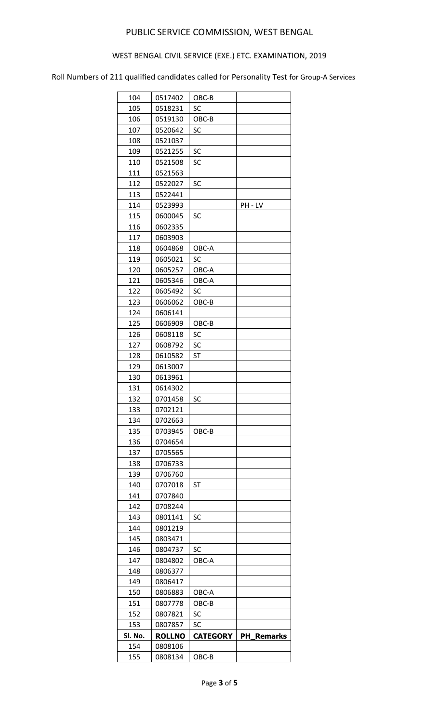# WEST BENGAL CIVIL SERVICE (EXE.) ETC. EXAMINATION, 2019

| 104     | 0517402            | OBC-B           |                   |
|---------|--------------------|-----------------|-------------------|
| 105     | 0518231            | SC              |                   |
| 106     | 0519130            | OBC-B           |                   |
| 107     | 0520642            | SC              |                   |
| 108     | 0521037            |                 |                   |
| 109     | 0521255            | SC              |                   |
| 110     | 0521508            | SC              |                   |
| 111     | 0521563            |                 |                   |
| 112     | 0522027            | SC              |                   |
| 113     | 0522441            |                 |                   |
| 114     | 0523993            |                 | PH - LV           |
| 115     | 0600045            | SC              |                   |
| 116     | 0602335            |                 |                   |
| 117     | 0603903            |                 |                   |
| 118     | 0604868            | OBC-A           |                   |
| 119     | 0605021            | SC              |                   |
| 120     | 0605257            | OBC-A           |                   |
| 121     | 0605346            | OBC-A           |                   |
| 122     | 0605492            | SC              |                   |
| 123     |                    | OBC-B           |                   |
| 124     | 0606062<br>0606141 |                 |                   |
|         |                    |                 |                   |
| 125     | 0606909            | OBC-B           |                   |
| 126     | 0608118            | SC              |                   |
| 127     | 0608792            | SC              |                   |
| 128     | 0610582            | <b>ST</b>       |                   |
| 129     | 0613007            |                 |                   |
| 130     | 0613961            |                 |                   |
| 131     | 0614302            |                 |                   |
| 132     | 0701458            | SC              |                   |
| 133     | 0702121            |                 |                   |
| 134     | 0702663            |                 |                   |
| 135     | 0703945            | OBC-B           |                   |
| 136     | 0704654            |                 |                   |
| 137     | 0705565            |                 |                   |
| 138     | 0706733            |                 |                   |
| 139     | 0706760            |                 |                   |
| 140     | 0707018            | ST              |                   |
| 141     | 0707840            |                 |                   |
| 142     | 0708244            |                 |                   |
| 143     | 0801141            | SC              |                   |
| 144     | 0801219            |                 |                   |
| 145     | 0803471            |                 |                   |
| 146     | 0804737            | SC              |                   |
| 147     | 0804802            | OBC-A           |                   |
| 148     | 0806377            |                 |                   |
| 149     | 0806417            |                 |                   |
| 150     | 0806883            | OBC-A           |                   |
| 151     | 0807778            | OBC-B           |                   |
| 152     | 0807821            | SC              |                   |
| 153     | 0807857            | SC              |                   |
| Sl. No. | <b>ROLLNO</b>      | <b>CATEGORY</b> | <b>PH Remarks</b> |
| 154     | 0808106            |                 |                   |
| 155     | 0808134            | OBC-B           |                   |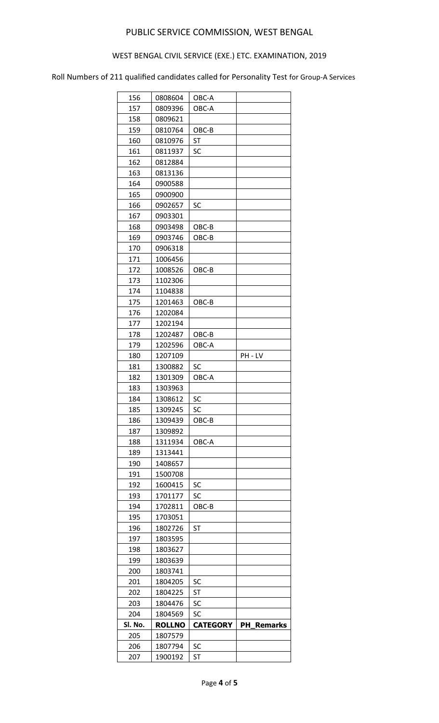# WEST BENGAL CIVIL SERVICE (EXE.) ETC. EXAMINATION, 2019

| 156     | 0808604       | OBC-A           |                      |
|---------|---------------|-----------------|----------------------|
| 157     | 0809396       | OBC-A           |                      |
| 158     | 0809621       |                 |                      |
| 159     | 0810764       | OBC-B           |                      |
| 160     | 0810976       | <b>ST</b>       |                      |
| 161     | 0811937       | SC              |                      |
| 162     | 0812884       |                 |                      |
| 163     | 0813136       |                 |                      |
| 164     | 0900588       |                 |                      |
| 165     | 0900900       |                 |                      |
| 166     | 0902657       | SC              |                      |
| 167     | 0903301       |                 |                      |
| 168     | 0903498       | OBC-B           |                      |
| 169     | 0903746       | OBC-B           |                      |
| 170     | 0906318       |                 |                      |
| 171     | 1006456       |                 |                      |
| 172     | 1008526       | OBC-B           |                      |
| 173     | 1102306       |                 |                      |
| 174     | 1104838       |                 |                      |
| 175     | 1201463       | OBC-B           |                      |
| 176     | 1202084       |                 |                      |
| 177     | 1202194       |                 |                      |
| 178     | 1202487       | OBC-B           |                      |
| 179     | 1202596       | OBC-A           |                      |
| 180     | 1207109       |                 | PH - LV              |
| 181     | 1300882       | SC              |                      |
| 182     | 1301309       | OBC-A           |                      |
| 183     | 1303963       |                 |                      |
| 184     | 1308612       | SC              |                      |
| 185     | 1309245       | SC              |                      |
| 186     | 1309439       | OBC-B           |                      |
| 187     | 1309892       |                 |                      |
| 188     | 1311934       | OBC-A           |                      |
| 189     | 1313441       |                 |                      |
| 190     | 1408657       |                 |                      |
| 191     | 1500708       |                 |                      |
| 192     | 1600415       | SC              |                      |
| 193     | 1701177       | SC              |                      |
| 194     | 1702811       | OBC-B           |                      |
| 195     | 1703051       |                 |                      |
| 196     | 1802726       | ST              |                      |
| 197     | 1803595       |                 |                      |
| 198     | 1803627       |                 |                      |
| 199     | 1803639       |                 |                      |
| 200     | 1803741       |                 |                      |
| 201     | 1804205       | SC              |                      |
| 202     | 1804225       | <b>ST</b>       |                      |
| 203     | 1804476       | SC              |                      |
| 204     | 1804569       | SC              |                      |
| Sl. No. | <b>ROLLNO</b> | <b>CATEGORY</b> | PH<br><b>Remarks</b> |
| 205     | 1807579       |                 |                      |
| 206     | 1807794       | SC              |                      |
| 207     | 1900192       | ST              |                      |
|         |               |                 |                      |